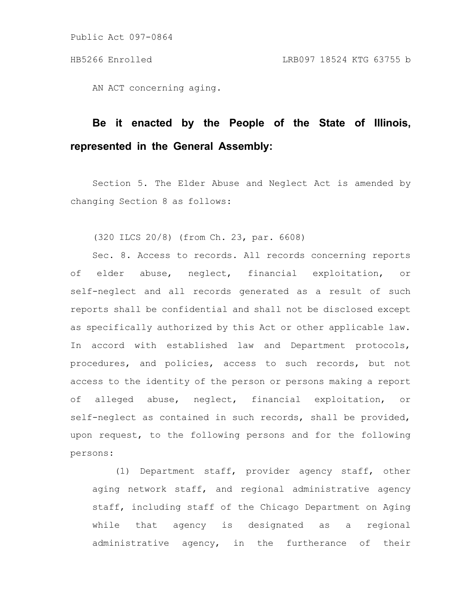Public Act 097-0864

AN ACT concerning aging.

## **Be it enacted by the People of the State of Illinois, represented in the General Assembly:**

Section 5. The Elder Abuse and Neglect Act is amended by changing Section 8 as follows:

(320 ILCS 20/8) (from Ch. 23, par. 6608)

Sec. 8. Access to records. All records concerning reports of elder abuse, neglect, financial exploitation, or self-neglect and all records generated as a result of such reports shall be confidential and shall not be disclosed except as specifically authorized by this Act or other applicable law. In accord with established law and Department protocols, procedures, and policies, access to such records, but not access to the identity of the person or persons making a report of alleged abuse, neglect, financial exploitation, or self-neglect as contained in such records, shall be provided, upon request, to the following persons and for the following persons:

(1) Department staff, provider agency staff, other aging network staff, and regional administrative agency staff, including staff of the Chicago Department on Aging while that agency is designated as a regional administrative agency, in the furtherance of their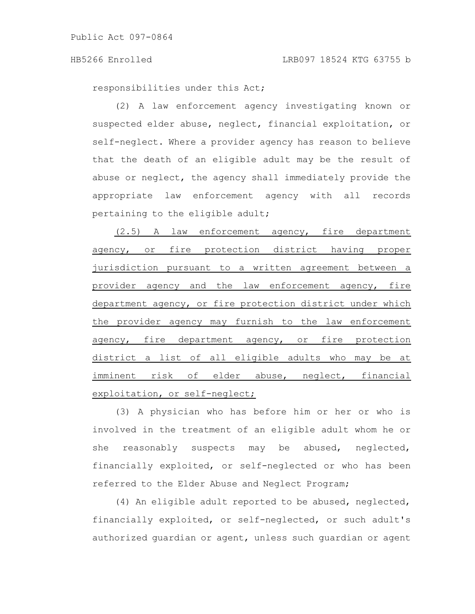Public Act 097-0864

responsibilities under this Act;

(2) A law enforcement agency investigating known or suspected elder abuse, neglect, financial exploitation, or self-neglect. Where a provider agency has reason to believe that the death of an eligible adult may be the result of abuse or neglect, the agency shall immediately provide the appropriate law enforcement agency with all records pertaining to the eligible adult;

(2.5) A law enforcement agency, fire department agency, or fire protection district having proper jurisdiction pursuant to a written agreement between a provider agency and the law enforcement agency, fire department agency, or fire protection district under which the provider agency may furnish to the law enforcement agency, fire department agency, or fire protection district a list of all eligible adults who may be at imminent risk of elder abuse, neglect, financial exploitation, or self-neglect;

(3) A physician who has before him or her or who is involved in the treatment of an eligible adult whom he or she reasonably suspects may be abused, neglected, financially exploited, or self-neglected or who has been referred to the Elder Abuse and Neglect Program;

(4) An eligible adult reported to be abused, neglected, financially exploited, or self-neglected, or such adult's authorized guardian or agent, unless such guardian or agent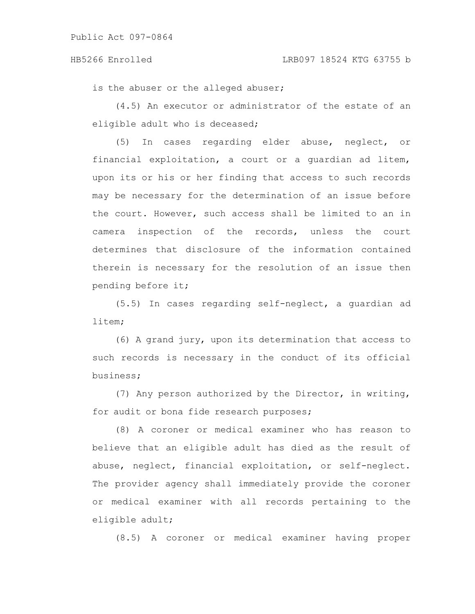is the abuser or the alleged abuser;

(4.5) An executor or administrator of the estate of an eligible adult who is deceased;

(5) In cases regarding elder abuse, neglect, or financial exploitation, a court or a guardian ad litem, upon its or his or her finding that access to such records may be necessary for the determination of an issue before the court. However, such access shall be limited to an in camera inspection of the records, unless the court determines that disclosure of the information contained therein is necessary for the resolution of an issue then pending before it;

(5.5) In cases regarding self-neglect, a guardian ad litem;

(6) A grand jury, upon its determination that access to such records is necessary in the conduct of its official business;

(7) Any person authorized by the Director, in writing, for audit or bona fide research purposes;

(8) A coroner or medical examiner who has reason to believe that an eligible adult has died as the result of abuse, neglect, financial exploitation, or self-neglect. The provider agency shall immediately provide the coroner or medical examiner with all records pertaining to the eligible adult;

(8.5) A coroner or medical examiner having proper